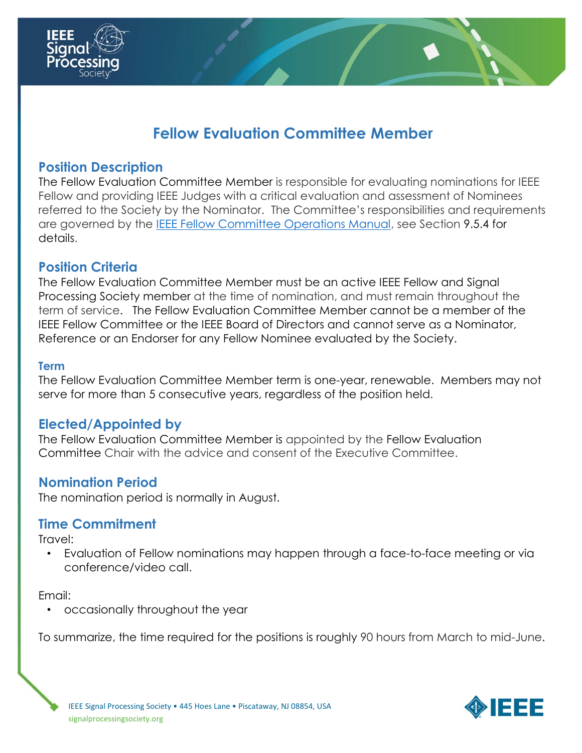

# **Fellow Evaluation Committee Member**

#### **Position Description**

The Fellow Evaluation Committee Member is responsible for evaluating nominations for IEEE Fellow and providing IEEE Judges with a critical evaluation and assessment of Nominees referred to the Society by the Nominator. The Committee's responsibilities and requirements are governed by the [IEEE Fellow Committee Operations Manual,](https://www.ieee.org/content/dam/ieee-org/ieee/web/org/govern/fellow_operations_manual.pdf) see Section 9.5.4 for details.

### **Position Criteria**

The Fellow Evaluation Committee Member must be an active IEEE Fellow and Signal Processing Society member at the time of nomination, and must remain throughout the term of service. The Fellow Evaluation Committee Member cannot be a member of the IEEE Fellow Committee or the IEEE Board of Directors and cannot serve as a Nominator, Reference or an Endorser for any Fellow Nominee evaluated by the Society.

#### **Term**

The Fellow Evaluation Committee Member term is one-year, renewable. Members may not serve for more than 5 consecutive years, regardless of the position held.

### **Elected/Appointed by**

The Fellow Evaluation Committee Member is appointed by the Fellow Evaluation Committee Chair with the advice and consent of the Executive Committee.

### **Nomination Period**

The nomination period is normally in August.

### **Time Commitment**

Travel:

• Evaluation of Fellow nominations may happen through a face-to-face meeting or via conference/video call.

Email:

• occasionally throughout the year

To summarize, the time required for the positions is roughly 90 hours from March to mid-June.